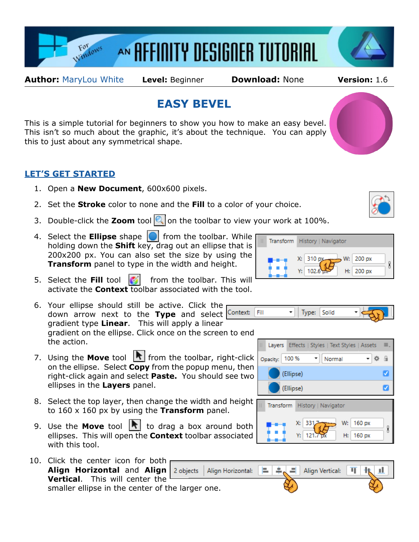

**Author:** [MaryLou White](mailto:mlwhite@pircnet.com) **Level:** Beginner **Download:** None **Version:** 1.6

## **EASY BEVEL**

This is a simple tutorial for beginners to show you how to make an easy bevel. This isn't so much about the graphic, it's about the technique. You can apply this to just about any symmetrical shape.

## **LET'S GET STARTED**

- 1. Open a **New Document**, 600x600 pixels.
- 2. Set the **Stroke** color to none and the **Fill** to a color of your choice.
- 3. Double-click the **Zoom** tool **o** on the toolbar to view your work at 100%.
- 4. Select the **Ellipse** shape **Fig.** from the toolbar. While holding down the **Shift** key, drag out an ellipse that is 200x200 px. You can also set the size by using the **Transform** panel to type in the width and height.
- 5. Select the Fill tool **following** from the toolbar. This will activate the **Context** toolbar associated with the tool.
- 6. Your ellipse should still be active. Click the down arrow next to the **Type** and select gradient type **Linear**. This will apply a linear gradient on the ellipse. Click once on the screen to end the action.
- 7. Using the **Move** tool **R** from the toolbar, right-click on the ellipse. Select **Copy** from the popup menu, then right-click again and select **Paste.** You should see two ellipses in the **Layers** panel.
- 8. Select the top layer, then change the width and height to 160 x 160 px by using the **Transform** panel.
- 9. Use the **Move** tool  $\left|\mathbf{r}\right|$  to drag a box around both ellipses. This will open the **Context** toolbar associated with this tool.
- 10. Click the center icon for both **Align Horizontal** and **Align** 2 objects **Vertical**. This will center the smaller ellipse in the center of the larger one.

Transform History | Navigator 310 px 200 px 102.6 200 px H:





W:

160 px

H: 160 px

8



X: 331

Y: I  $121.7$ 



X